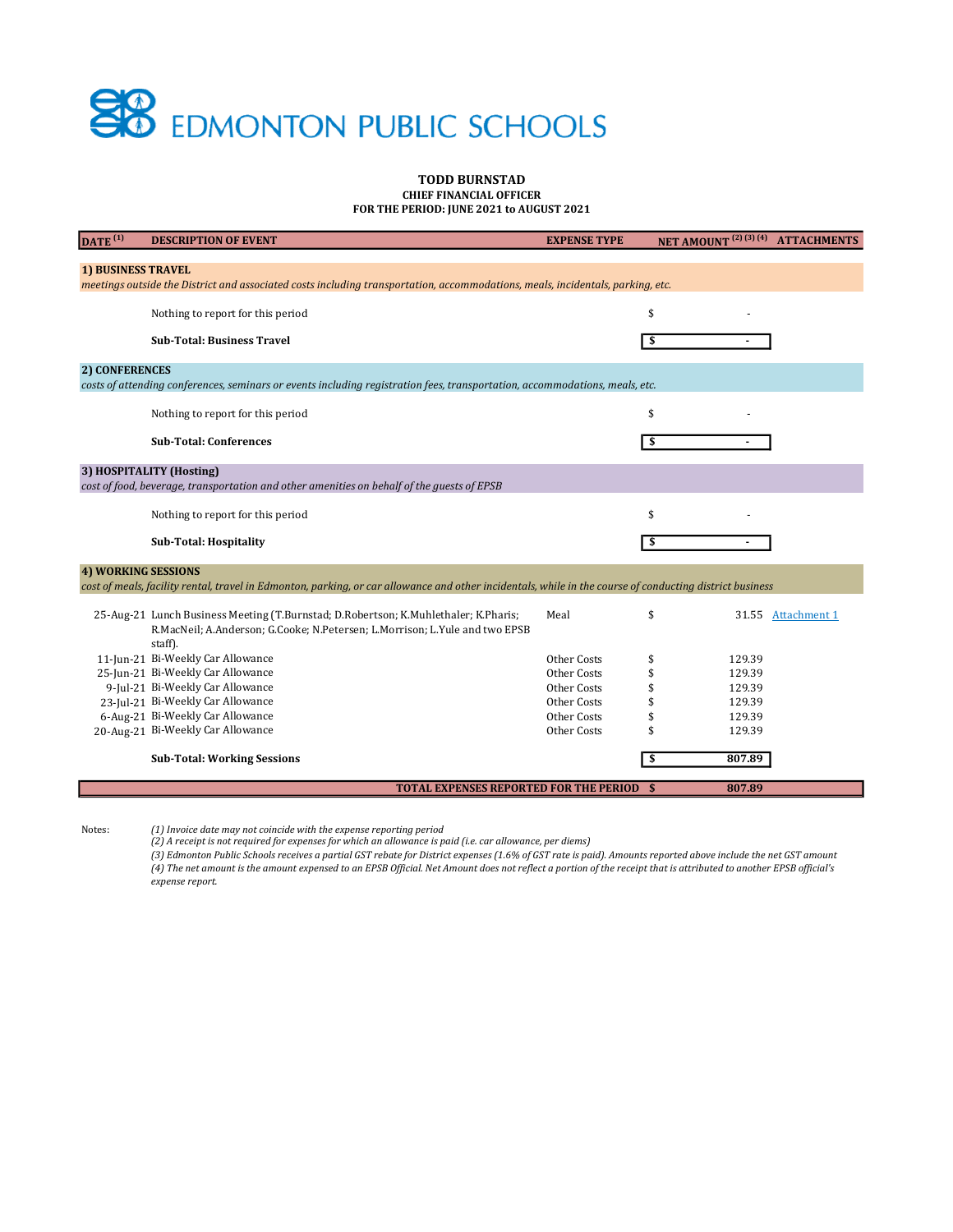# **SO** EDMONTON PUBLIC SCHOOLS

#### TODD BURNSTAD CHIEF FINANCIAL OFFICER

FOR THE PERIOD: JUNE 2021 to AUGUST 2021

| DATA(1)                                                                                                                                                                         | <b>DESCRIPTION OF EVENT</b>                                                                | <b>EXPENSE TYPE</b> |     |        | NET AMOUNT <sup>(2)(3)(4)</sup> ATTACHMENTS |  |  |  |
|---------------------------------------------------------------------------------------------------------------------------------------------------------------------------------|--------------------------------------------------------------------------------------------|---------------------|-----|--------|---------------------------------------------|--|--|--|
|                                                                                                                                                                                 |                                                                                            |                     |     |        |                                             |  |  |  |
| <b>1) BUSINESS TRAVEL</b>                                                                                                                                                       |                                                                                            |                     |     |        |                                             |  |  |  |
| meetings outside the District and associated costs including transportation, accommodations, meals, incidentals, parking, etc.                                                  |                                                                                            |                     |     |        |                                             |  |  |  |
|                                                                                                                                                                                 | Nothing to report for this period                                                          |                     | \$  |        |                                             |  |  |  |
|                                                                                                                                                                                 |                                                                                            |                     |     |        |                                             |  |  |  |
|                                                                                                                                                                                 | <b>Sub-Total: Business Travel</b>                                                          |                     | \$  |        |                                             |  |  |  |
| 2) CONFERENCES                                                                                                                                                                  |                                                                                            |                     |     |        |                                             |  |  |  |
| costs of attending conferences, seminars or events including registration fees, transportation, accommodations, meals, etc.                                                     |                                                                                            |                     |     |        |                                             |  |  |  |
|                                                                                                                                                                                 |                                                                                            |                     |     |        |                                             |  |  |  |
|                                                                                                                                                                                 | Nothing to report for this period                                                          |                     | \$  |        |                                             |  |  |  |
|                                                                                                                                                                                 | <b>Sub-Total: Conferences</b>                                                              |                     | -\$ |        |                                             |  |  |  |
|                                                                                                                                                                                 |                                                                                            |                     |     |        |                                             |  |  |  |
|                                                                                                                                                                                 | 3) HOSPITALITY (Hosting)                                                                   |                     |     |        |                                             |  |  |  |
|                                                                                                                                                                                 | cost of food, beverage, transportation and other amenities on behalf of the guests of EPSB |                     |     |        |                                             |  |  |  |
|                                                                                                                                                                                 | Nothing to report for this period                                                          |                     | \$  |        |                                             |  |  |  |
|                                                                                                                                                                                 |                                                                                            |                     |     |        |                                             |  |  |  |
|                                                                                                                                                                                 | <b>Sub-Total: Hospitality</b>                                                              |                     | \$  |        |                                             |  |  |  |
|                                                                                                                                                                                 |                                                                                            |                     |     |        |                                             |  |  |  |
| 4) WORKING SESSIONS<br>cost of meals, facility rental, travel in Edmonton, parking, or car allowance and other incidentals, while in the course of conducting district business |                                                                                            |                     |     |        |                                             |  |  |  |
|                                                                                                                                                                                 |                                                                                            |                     |     |        |                                             |  |  |  |
|                                                                                                                                                                                 | 25-Aug-21 Lunch Business Meeting (T.Burnstad; D.Robertson; K.Muhlethaler; K.Pharis;        | Meal                | \$  |        | 31.55 Attachment 1                          |  |  |  |
|                                                                                                                                                                                 | R.MacNeil; A.Anderson; G.Cooke; N.Petersen; L.Morrison; L.Yule and two EPSB                |                     |     |        |                                             |  |  |  |
|                                                                                                                                                                                 | staff).                                                                                    |                     |     |        |                                             |  |  |  |
|                                                                                                                                                                                 | 11-Jun-21 Bi-Weekly Car Allowance                                                          | Other Costs         | \$  | 129.39 |                                             |  |  |  |
|                                                                                                                                                                                 | 25-Jun-21 Bi-Weekly Car Allowance                                                          | Other Costs         | \$  | 129.39 |                                             |  |  |  |
|                                                                                                                                                                                 | 9-Jul-21 Bi-Weekly Car Allowance                                                           | Other Costs         | \$  | 129.39 |                                             |  |  |  |
|                                                                                                                                                                                 | 23-Jul-21 Bi-Weekly Car Allowance                                                          | Other Costs         |     | 129.39 |                                             |  |  |  |
|                                                                                                                                                                                 | 6-Aug-21 Bi-Weekly Car Allowance                                                           | Other Costs         |     | 129.39 |                                             |  |  |  |
|                                                                                                                                                                                 | 20-Aug-21 Bi-Weekly Car Allowance                                                          | Other Costs         | \$  | 129.39 |                                             |  |  |  |
|                                                                                                                                                                                 | <b>Sub-Total: Working Sessions</b>                                                         |                     | \$  | 807.89 |                                             |  |  |  |
|                                                                                                                                                                                 |                                                                                            |                     |     |        |                                             |  |  |  |
| <b>TOTAL EXPENSES REPORTED FOR THE PERIOD \$</b><br>807.89                                                                                                                      |                                                                                            |                     |     |        |                                             |  |  |  |
|                                                                                                                                                                                 |                                                                                            |                     |     |        |                                             |  |  |  |

Notes: (1) Invoice date may not coincide with the expense reporting period

(2) A receipt is not required for expenses for which an allowance is paid (i.e. car allowance, per diems)

(3) Edmonton Public Schools receives a partial GST rebate for District expenses (1.6% of GST rate is paid). Amounts reported above include the net GST amount (4) The net amount is the amount expensed to an EPSB Official. Net Amount does not reflect a portion of the receipt that is attributed to another EPSB official's expense report.